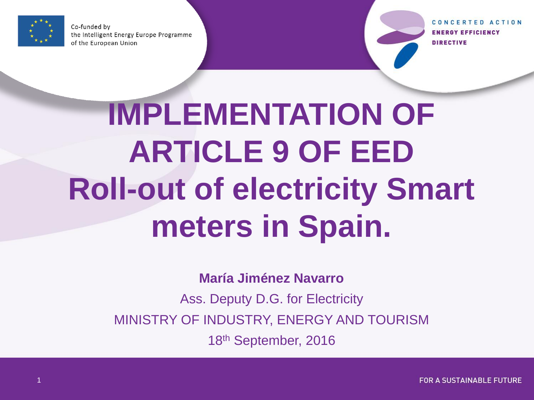

Co-funded by the Intelligent Energy Europe Programme of the European Union

CONCERTED ACTION **ENERGY EFFICIENCY DIRECTIVE** 

# **IMPLEMENTATION OF ARTICLE 9 OF EED Roll-out of electricity Smart meters in Spain.**

**María Jiménez Navarro**

Ass. Deputy D.G. for Electricity MINISTRY OF INDUSTRY, ENERGY AND TOURISM

18th September, 2016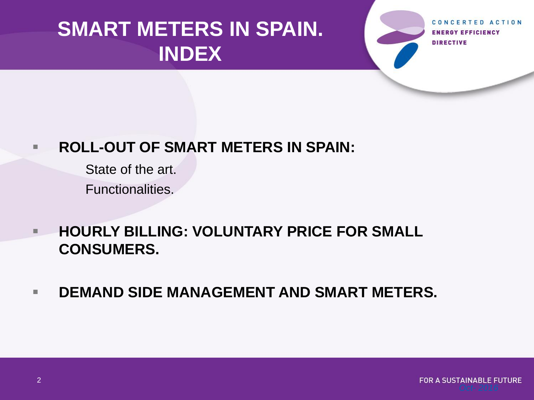## **SMART METERS IN SPAIN. INDEX**

**ENERGY EFFICIENCY DIRECTIVE** 

#### **ROLL-OUT OF SMART METERS IN SPAIN:**

State of the art.

Functionalities.

- **HOURLY BILLING: VOLUNTARY PRICE FOR SMALL CONSUMERS.**
- **DEMAND SIDE MANAGEMENT AND SMART METERS.**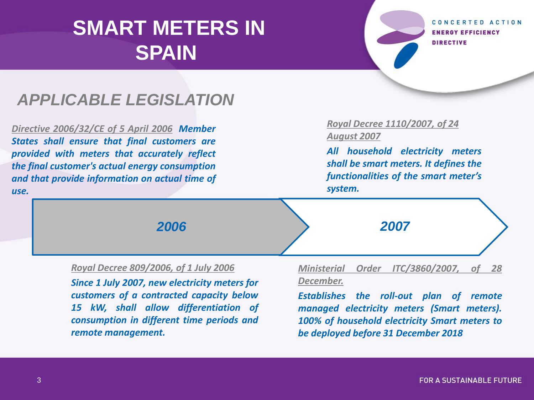*consumption in different time periods and*

CONCERTED ACTION **ENERGY EFFICIENCY DIRECTIVE** 

#### *APPLICABLE LEGISLATION*

*Directive 2006/32/CE of 5 April 2006 Member States shall ensure that final customers are provided with meters that accurately reflect the final customer's actual energy consumption and that provide information on actual time of use.*

*remote management.*

#### *Royal Decree 1110/2007, of 24 August 2007*

*All household electricity meters shall be smart meters. It defines the functionalities of the smart meter's system.*

| 2006                                                                              | 2007                                                                                  |
|-----------------------------------------------------------------------------------|---------------------------------------------------------------------------------------|
| Royal Decree 809/2006, of 1 July 2006                                             | Ministerial Order ITC/3860/2007, of 28                                                |
| Since 1 July 2007, new electricity meters for                                     | December.                                                                             |
| customers of a contracted capacity below<br>15 kW, shall allow differentiation of | Establishes the roll-out plan of remote<br>managed electricity meters (Smart meters). |

*100% of household electricity Smart meters to*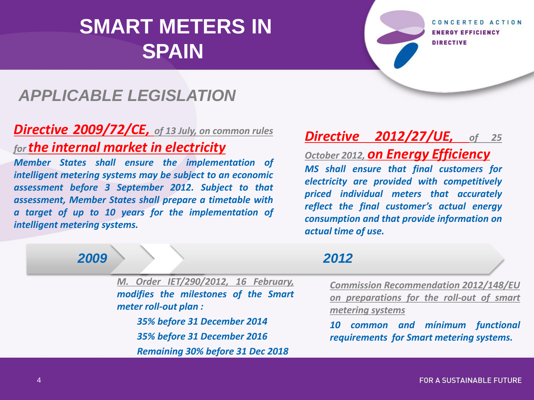CONCERTED ACTION **ENERGY EFFICIENCY DIRECTIVE** 

#### *APPLICABLE LEGISLATION*

#### *Directive 2009/72/CE, of 13 July, on common rules for the internal market in electricity*

*Member States shall ensure the implementation of intelligent metering systems may be subject to an economic assessment before 3 September 2012. Subject to that assessment, Member States shall prepare a timetable with a target of up to 10 years for the implementation of intelligent metering systems.*

#### *Directive 2012/27/UE, of 25*

*October 2012, on Energy Efficiency MS shall ensure that final customers for electricity are provided with competitively priced individual meters that accurately reflect the final customer's actual energy consumption and that provide information on actual time of use.*

*M. Order IET/290/2012, 16 February, modifies the milestones of the Smart meter roll-out plan :*

> *35% before 31 December 2014 35% before 31 December 2016 Remaining 30% before 31 Dec 2018*

#### *2009 2012*

*Commission Recommendation 2012/148/EU on preparations for the roll-out of smart metering systems*

*10 common and mínimum functional requirements for Smart metering systems.*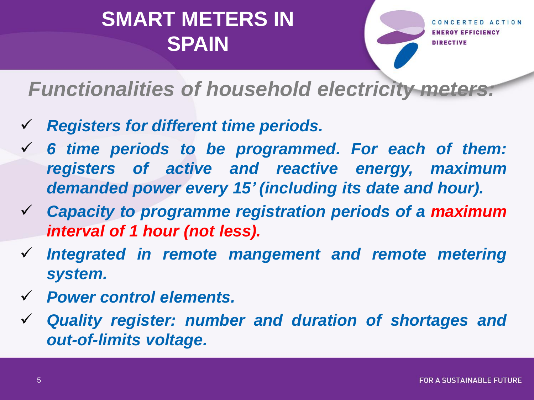**Y EFFICIENCY DIRECTIVE** 

### *Functionalities of household electricity meters:*

- *Registers for different time periods.*
- *6 time periods to be programmed. For each of them: registers of active and reactive energy, maximum demanded power every 15' (including its date and hour).*
- *Capacity to programme registration periods of a maximum interval of 1 hour (not less).*
- *Integrated in remote mangement and remote metering system.*
- *Power control elements.*
- *Quality register: number and duration of shortages and out-of-limits voltage.*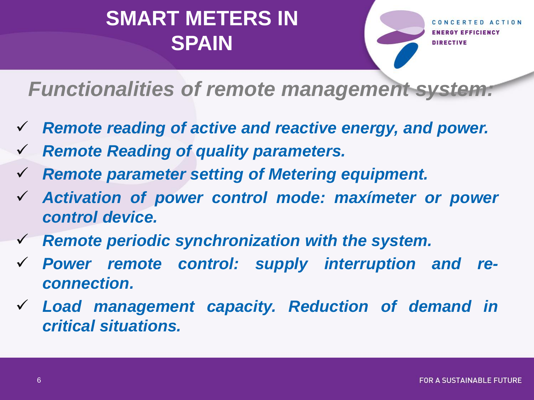GY EFFICIENCY **DIRECTIVE** 

*Functionalities of remote management system:*

- *Remote reading of active and reactive energy, and power.*
- *Remote Reading of quality parameters.*
- *Remote parameter setting of Metering equipment.*
- *Activation of power control mode: maxímeter or power control device.*
- *Remote periodic synchronization with the system.*
- *Power remote control: supply interruption and reconnection.*
- *Load management capacity. Reduction of demand in critical situations.*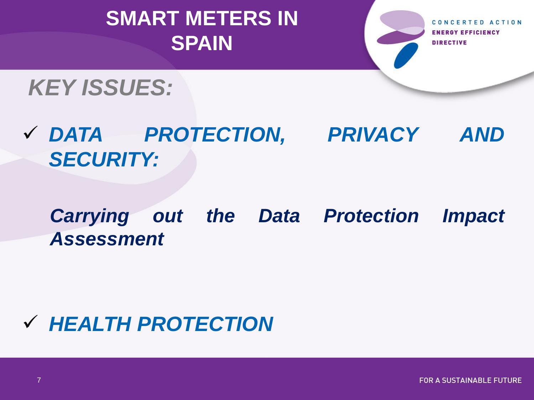CONCERTED ACTION **ENERGY EFFICIENCY DIRECTIVE** 

## *KEY ISSUES:*

 *DATA PROTECTION, PRIVACY AND SECURITY:*

*Carrying out the Data Protection Impact Assessment*

## *HEALTH PROTECTION*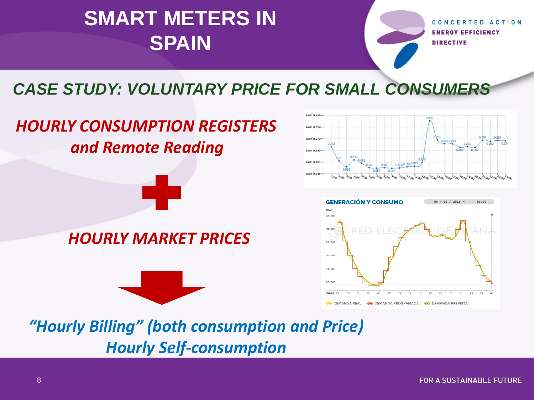CONCERTED ACTION **ENERGY EFFICIENCY DIRECTIVE** 

#### *CASE STUDY: VOLUNTARY PRICE FOR SMALL CONSUMERS*

#### *HOURLY CONSUMPTION REGISTERS and Remote Reading*

#### *HOURLY MARKET PRICES*







*"Hourly Billing" (both consumption and Price) Hourly Self-consumption*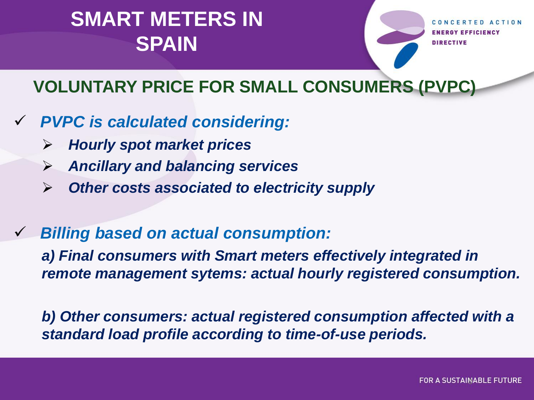**GY EFFICIENCY DIRECTIVE** 

#### **VOLUNTARY PRICE FOR SMALL CONSUMERS (PVPC)**

- *PVPC is calculated considering:*
	- *Hourly spot market prices*
	- *Ancillary and balancing services*
	- *Other costs associated to electricity supply*
- *Billing based on actual consumption:*

*a) Final consumers with Smart meters effectively integrated in remote management sytems: actual hourly registered consumption.*

*b) Other consumers: actual registered consumption affected with a standard load profile according to time-of-use periods.*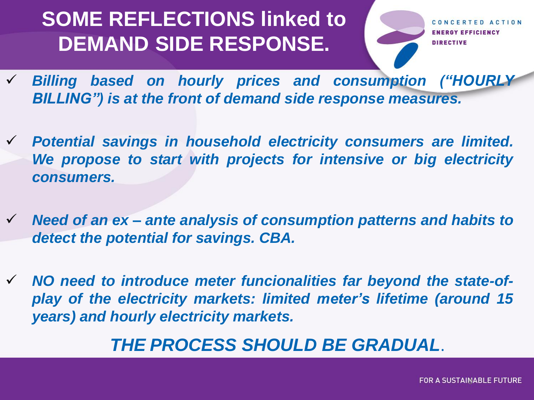## **SOME REFLECTIONS linked to DEMAND SIDE RESPONSE.**

CONCERTED ACTION **ENERGY EFFICIENCY DIRECTIVE** 

- *Billing based on hourly prices and consumption ("HOURLY BILLING") is at the front of demand side response measures.*
- *Potential savings in household electricity consumers are limited. We propose to start with projects for intensive or big electricity consumers.*
- *Need of an ex – ante analysis of consumption patterns and habits to detect the potential for savings. CBA.*
- *NO need to introduce meter funcionalities far beyond the state-ofplay of the electricity markets: limited meter's lifetime (around 15 years) and hourly electricity markets.*

#### *THE PROCESS SHOULD BE GRADUAL*.